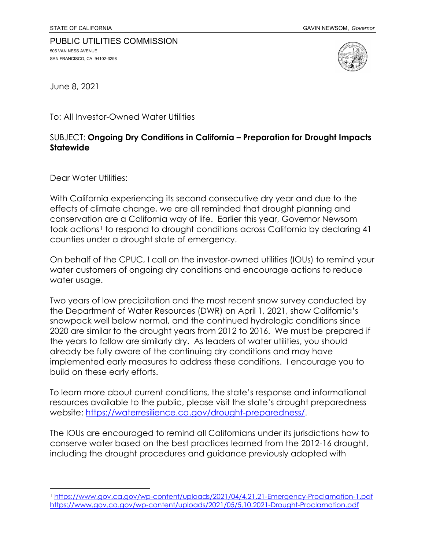## PUBLIC UTILITIES COMMISSION 505 VAN NESS AVENUE SAN FRANCISCO, CA 94102-3298



June 8, 2021

To: All Investor-Owned Water Utilities

## SUBJECT: **Ongoing Dry Conditions in California – Preparation for Drought Impacts Statewide**

Dear Water Utilities:

With California experiencing its second consecutive dry year and due to the effects of climate change, we are all reminded that drought planning and conservation are a California way of life. Earlier this year, Governor Newsom took actions<sup>[1](#page-0-0)</sup> to respond to drought conditions across California by declaring 41 counties under a drought state of emergency.

On behalf of the CPUC, I call on the investor-owned utilities (IOUs) to remind your water customers of ongoing dry conditions and encourage actions to reduce water usage.

Two years of low precipitation and the most recent snow survey conducted by the Department of Water Resources (DWR) on April 1, 2021, show California's snowpack well below normal, and the continued hydrologic conditions since 2020 are similar to the drought years from 2012 to 2016. We must be prepared if the years to follow are similarly dry. As leaders of water utilities, you should already be fully aware of the continuing dry conditions and may have implemented early measures to address these conditions. I encourage you to build on these early efforts.

To learn more about current conditions, the state's response and informational resources available to the public, please visit the state's drought preparedness website: https://waterresilience.ca.gov/drought-preparedness/.

The IOUs are encouraged to remind all Californians under its jurisdictions how to conserve water based on the best practices learned from the 2012-16 drought, including the drought procedures and guidance previously adopted with

<span id="page-0-0"></span><sup>1</sup> <https://www.gov.ca.gov/wp-content/uploads/2021/04/4.21.21-Emergency-Proclamation-1.pdf> <https://www.gov.ca.gov/wp-content/uploads/2021/05/5.10.2021-Drought-Proclamation.pdf>